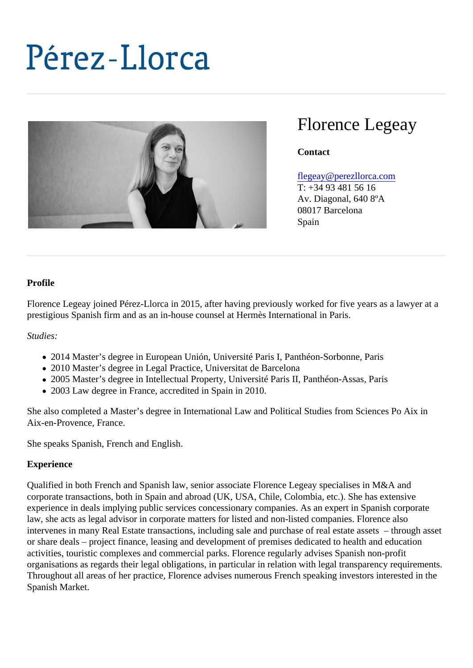# Florence Legeay

**Contact** 

#### [flegeay@perezllorca.co](mailto:flegeay@perezllorca.com)m

T: +34 93 481 56 16 Av. Diagonal, 640 8ºA 08017 Barcelona Spain

#### Profile

Florence Legeay joined Pérez-Llorca in 2015, after having previously worked for five years as a lawyer at prestigious Spanish firm and as an in-house counsel at Hermès International in Paris.

Studies:

- 2014 Master's degree in European Unión, Université Paris I, Panthéon-Sorbonne, Paris
- 2010 Master's degree in Legal Practice, Universitat de Barcelona
- 2005 Master's degree in Intellectual Property, Université Paris II, Panthéon-Assas, Paris
- 2003 Law degree in France, accredited in Spain in 2010.

She also completed a Master's degree in International Law and Political Studies from Sciences Po Aix in Aix-en-Provence, France.

She speaks Spanish, French and English.

#### **Experience**

Qualified in both French and Spanish law, senior associate Florence Legeay specialises in M&A and corporate transactions, both in Spain and abroad (UK, USA, Chile, Colombia, etc.). She has extensive experience in deals implying public services concessionary companies. As an expert in Spanish corporate law, she acts as legal advisor in corporate matters for listed and non-listed companies. Florence also intervenes in many Real Estate transactions, including sale and purchase of real estate assets  $-$  through or share deals – project finance, leasing and development of premises dedicated to health and education activities, touristic complexes and commercial parks. Florence regularly advises Spanish non-profit organisations as regards their legal obligations, in particular in relation with legal transparency requiremen Throughout all areas of her practice, Florence advises numerous French speaking investors interested in the Spanish Market.